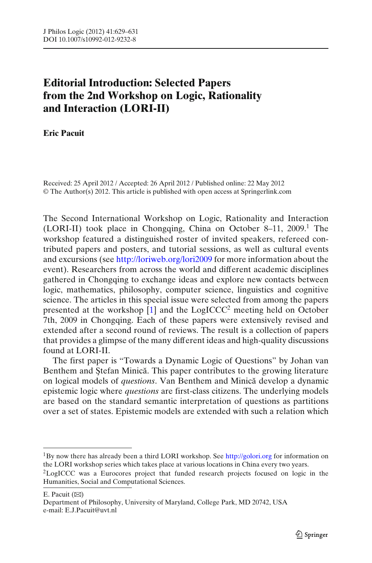## **Editorial Introduction: Selected Papers from the 2nd Workshop on Logic, Rationality and Interaction (LORI-II)**

**Eric Pacuit**

Received: 25 April 2012 / Accepted: 26 April 2012 / Published online: 22 May 2012 © The Author(s) 2012. This article is published with open access at Springerlink.com

The Second International Workshop on Logic, Rationality and Interaction (LORI-II) took place in Chongqing, China on October 8–11, 2009.<sup>1</sup> The workshop featured a distinguished roster of invited speakers, refereed contributed papers and posters, and tutorial sessions, as well as cultural events and excursions (see http://loriweb.org/lori2009 for more information about the event). Researchers from across the world and different academic disciplines gathered in Chongqing to exchange ideas and explore new contacts between logic, mathematics, philosophy, computer science, linguistics and cognitive science. The articles in this special issue were selected from among the papers presented at the workshop  $\left[1\right]$  and the LogICCC<sup>2</sup> meeting held on October 7th, 2009 in Chongqing. Each of these papers were extensively revised and extended after a second round of reviews. The result is a collection of papers that provides a glimpse of the many different ideas and high-quality discussions found at LORI-II.

The first paper is "Towards a Dynamic Logic of Questions" by Johan van Benthem and Stefan Minică. This paper contributes to the growing literature on logical models of *questions*. Van Benthem and Minica develop a dynamic ˘ epistemic logic where *questions* are first-class citizens. The underlying models are based on the standard semantic interpretation of questions as partitions over a set of states. Epistemic models are extended with such a relation which

 $1By$  now there has already been a third LORI workshop. See http://golori.org for information on the LORI workshop series which takes place at various locations in China every two years.

<sup>&</sup>lt;sup>2</sup>LogICCC was a Eurocores project that funded research projects focused on logic in the Humanities, Social and Computational Sciences.

E. Pacuit  $(\boxtimes)$ 

Department of Philosophy, University of Maryland, College Park, MD 20742, USA e-mail: E.J.Pacuit@uvt.nl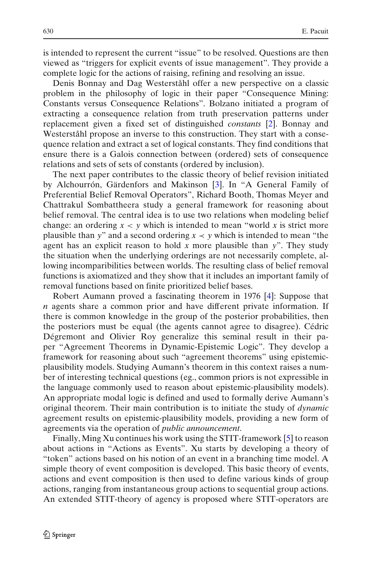is intended to represent the current "issue" to be resolved. Questions are then viewed as "triggers for explicit events of issue management". They provide a complete logic for the actions of raising, refining and resolving an issue.

Denis Bonnay and Dag Westerståhl offer a new perspective on a classic problem in the philosophy of logic in their paper "Consequence Mining: Constants versus Consequence Relations". Bolzano initiated a program of extracting a consequence relation from truth preservation patterns under replacement given a fixed set of distinguished *constants* [2]. Bonnay and Westerståhl propose an inverse to this construction. They start with a consequence relation and extract a set of logical constants. They find conditions that ensure there is a Galois connection between (ordered) sets of consequence relations and sets of sets of constants (ordered by inclusion).

The next paper contributes to the classic theory of belief revision initiated by Alchourrón, Gärdenfors and Makinson [3]. In "A General Family of Preferential Belief Removal Operators", Richard Booth, Thomas Meyer and Chattrakul Sombattheera study a general framework for reasoning about belief removal. The central idea is to use two relations when modeling belief change: an ordering  $x < y$  which is intended to mean "world x is strict more plausible than *y*" and a second ordering  $x \prec y$  which is intended to mean "the agent has an explicit reason to hold *x* more plausible than *y*". They study the situation when the underlying orderings are not necessarily complete, allowing incomparibilities between worlds. The resulting class of belief removal functions is axiomatized and they show that it includes an important family of removal functions based on finite prioritized belief bases.

Robert Aumann proved a fascinating theorem in 1976 [4]: Suppose that *n* agents share a common prior and have different private information. If there is common knowledge in the group of the posterior probabilities, then the posteriors must be equal (the agents cannot agree to disagree). Cédric Dégremont and Olivier Roy generalize this seminal result in their paper "Agreement Theorems in Dynamic-Epistemic Logic". They develop a framework for reasoning about such "agreement theorems" using epistemicplausibility models. Studying Aumann's theorem in this context raises a number of interesting technical questions (eg., common priors is not expressible in the language commonly used to reason about epistemic-plausibility models). An appropriate modal logic is defined and used to formally derive Aumann's original theorem. Their main contribution is to initiate the study of *dynamic* agreement results on epistemic-plausibility models, providing a new form of agreements via the operation of *public announcement*.

Finally, Ming Xu continues his work using the STIT-framework [5] to reason about actions in "Actions as Events". Xu starts by developing a theory of "token" actions based on his notion of an event in a branching time model. A simple theory of event composition is developed. This basic theory of events, actions and event composition is then used to define various kinds of group actions, ranging from instantaneous group actions to sequential group actions. An extended STIT-theory of agency is proposed where STIT-operators are